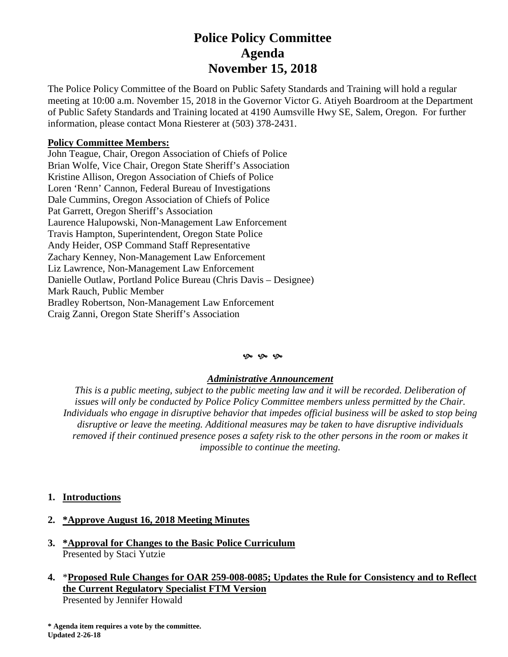# **Police Policy Committee Agenda November 15, 2018**

The Police Policy Committee of the Board on Public Safety Standards and Training will hold a regular meeting at 10:00 a.m. November 15, 2018 in the Governor Victor G. Atiyeh Boardroom at the Department of Public Safety Standards and Training located at 4190 Aumsville Hwy SE, Salem, Oregon. For further information, please contact Mona Riesterer at (503) 378-2431.

## **Policy Committee Members:**

John Teague, Chair, Oregon Association of Chiefs of Police Brian Wolfe, Vice Chair, Oregon State Sheriff's Association Kristine Allison, Oregon Association of Chiefs of Police Loren 'Renn' Cannon, Federal Bureau of Investigations Dale Cummins, Oregon Association of Chiefs of Police Pat Garrett, Oregon Sheriff's Association Laurence Halupowski, Non-Management Law Enforcement Travis Hampton, Superintendent, Oregon State Police Andy Heider, OSP Command Staff Representative Zachary Kenney, Non-Management Law Enforcement Liz Lawrence, Non-Management Law Enforcement Danielle Outlaw, Portland Police Bureau (Chris Davis – Designee) Mark Rauch, Public Member Bradley Robertson, Non-Management Law Enforcement Craig Zanni, Oregon State Sheriff's Association

#### $\mathfrak{G}$   $\mathfrak{G}$   $\mathfrak{G}$

### *Administrative Announcement*

*This is a public meeting, subject to the public meeting law and it will be recorded. Deliberation of issues will only be conducted by Police Policy Committee members unless permitted by the Chair. Individuals who engage in disruptive behavior that impedes official business will be asked to stop being disruptive or leave the meeting. Additional measures may be taken to have disruptive individuals removed if their continued presence poses a safety risk to the other persons in the room or makes it impossible to continue the meeting.*

**1. Introductions** 

# **2. \*Approve August 16, 2018 Meeting Minutes**

- **3. \*Approval for Changes to the Basic Police Curriculum**  Presented by Staci Yutzie
- **4.** \***Proposed Rule Changes for OAR 259-008-0085; Updates the Rule for Consistency and to Reflect the Current Regulatory Specialist FTM Version**

Presented by Jennifer Howald